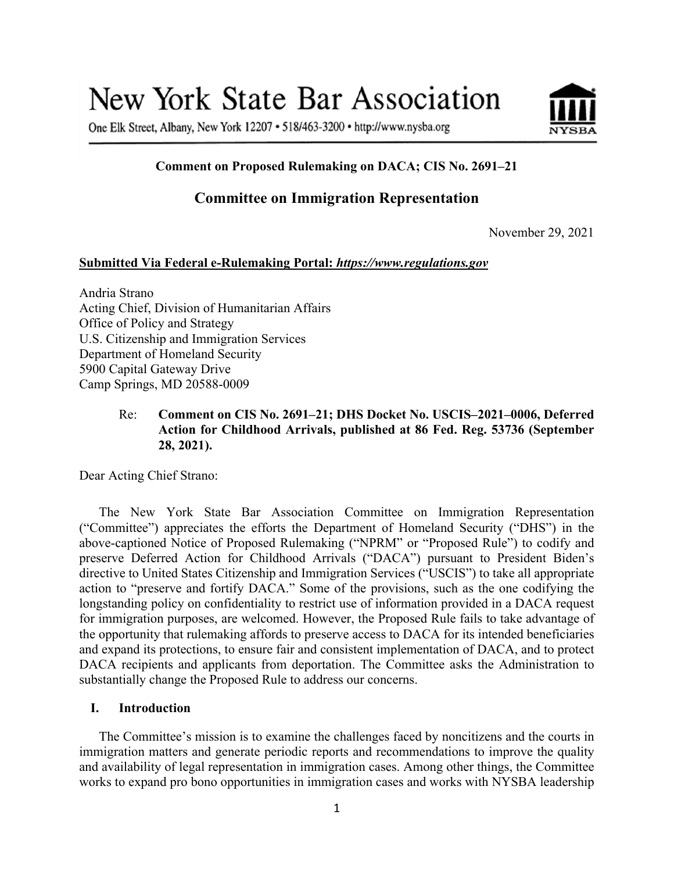# New York State Bar Association

One Elk Street, Albany, New York 12207 • 518/463-3200 • http://www.nysba.org



# **Comment on Proposed Rulemaking on DACA; CIS No. 2691–21**

# **Committee on Immigration Representation**

November 29, 2021

#### **Submitted Via Federal e-Rulemaking Portal:** *https://www.regulations.gov*

Andria Strano Acting Chief, Division of Humanitarian Affairs Office of Policy and Strategy U.S. Citizenship and Immigration Services Department of Homeland Security 5900 Capital Gateway Drive Camp Springs, MD 20588-0009

# Re: **Comment on CIS No. 2691–21; DHS Docket No. USCIS–2021–0006, Deferred Action for Childhood Arrivals, published at 86 Fed. Reg. 53736 (September 28, 2021).**

Dear Acting Chief Strano:

The New York State Bar Association Committee on Immigration Representation ("Committee") appreciates the efforts the Department of Homeland Security ("DHS") in the above-captioned Notice of Proposed Rulemaking ("NPRM" or "Proposed Rule") to codify and preserve Deferred Action for Childhood Arrivals ("DACA") pursuant to President Biden's directive to United States Citizenship and Immigration Services ("USCIS") to take all appropriate action to "preserve and fortify DACA." Some of the provisions, such as the one codifying the longstanding policy on confidentiality to restrict use of information provided in a DACA request for immigration purposes, are welcomed. However, the Proposed Rule fails to take advantage of the opportunity that rulemaking affords to preserve access to DACA for its intended beneficiaries and expand its protections, to ensure fair and consistent implementation of DACA, and to protect DACA recipients and applicants from deportation. The Committee asks the Administration to substantially change the Proposed Rule to address our concerns.

#### **I. Introduction**

The Committee's mission is to examine the challenges faced by noncitizens and the courts in immigration matters and generate periodic reports and recommendations to improve the quality and availability of legal representation in immigration cases. Among other things, the Committee works to expand pro bono opportunities in immigration cases and works with NYSBA leadership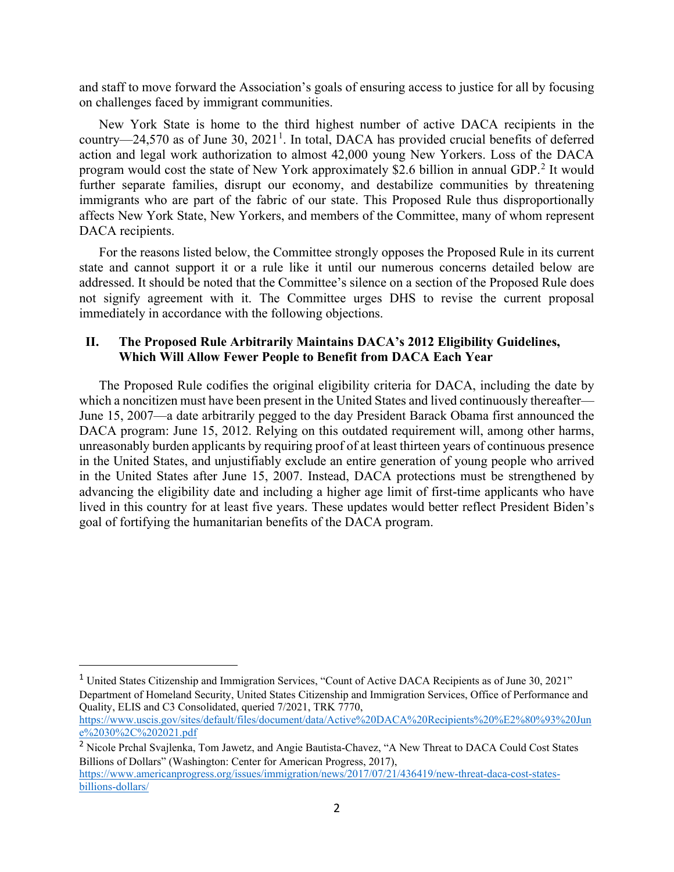and staff to move forward the Association's goals of ensuring access to justice for all by focusing on challenges faced by immigrant communities.

New York State is home to the third highest number of active DACA recipients in the country—24,570 as of June 30,  $2021<sup>1</sup>$  $2021<sup>1</sup>$  $2021<sup>1</sup>$ . In total, DACA has provided crucial benefits of deferred action and legal work authorization to almost 42,000 young New Yorkers. Loss of the DACA program would cost the state of New York approximately \$2.6 billion in annual GDP.[2](#page-1-1) It would further separate families, disrupt our economy, and destabilize communities by threatening immigrants who are part of the fabric of our state. This Proposed Rule thus disproportionally affects New York State, New Yorkers, and members of the Committee, many of whom represent DACA recipients.

For the reasons listed below, the Committee strongly opposes the Proposed Rule in its current state and cannot support it or a rule like it until our numerous concerns detailed below are addressed. It should be noted that the Committee's silence on a section of the Proposed Rule does not signify agreement with it. The Committee urges DHS to revise the current proposal immediately in accordance with the following objections.

#### **II. The Proposed Rule Arbitrarily Maintains DACA's 2012 Eligibility Guidelines, Which Will Allow Fewer People to Benefit from DACA Each Year**

The Proposed Rule codifies the original eligibility criteria for DACA, including the date by which a noncitizen must have been present in the United States and lived continuously thereafter— June 15, 2007—a date arbitrarily pegged to the day President Barack Obama first announced the DACA program: June 15, 2012. Relying on this outdated requirement will, among other harms, unreasonably burden applicants by requiring proof of at least thirteen years of continuous presence in the United States, and unjustifiably exclude an entire generation of young people who arrived in the United States after June 15, 2007. Instead, DACA protections must be strengthened by advancing the eligibility date and including a higher age limit of first-time applicants who have lived in this country for at least five years. These updates would better reflect President Biden's goal of fortifying the humanitarian benefits of the DACA program.

<span id="page-1-0"></span><sup>1</sup> United States Citizenship and Immigration Services, "Count of Active DACA Recipients as of June 30, 2021" Department of Homeland Security, United States Citizenship and Immigration Services, Office of Performance and Quality, ELIS and C3 Consolidated, queried 7/2021, TRK 7770,

[https://www.uscis.gov/sites/default/files/document/data/Active%20DACA%20Recipients%20%E2%80%93%20Jun](https://www.uscis.gov/sites/default/files/document/data/Active%20DACA%20Recipients%20%E2%80%93%20June%2030%2C%202021.pd) [e%2030%2C%202021.pdf](https://www.uscis.gov/sites/default/files/document/data/Active%20DACA%20Recipients%20%E2%80%93%20June%2030%2C%202021.pd)

<span id="page-1-1"></span><sup>2</sup> Nicole Prchal Svajlenka, Tom Jawetz, and Angie Bautista-Chavez, "A New Threat to DACA Could Cost States Billions of Dollars" (Washington: Center for American Progress, 2017), [https://www.americanprogress.org/issues/immigration/news/2017/07/21/436419/new-threat-daca-cost-states](https://www.americanprogress.org/issues/immigration/news/2017/07/21/436419/new-threat-daca-cost-states-billions-dollars/)[billions-dollars/](https://www.americanprogress.org/issues/immigration/news/2017/07/21/436419/new-threat-daca-cost-states-billions-dollars/)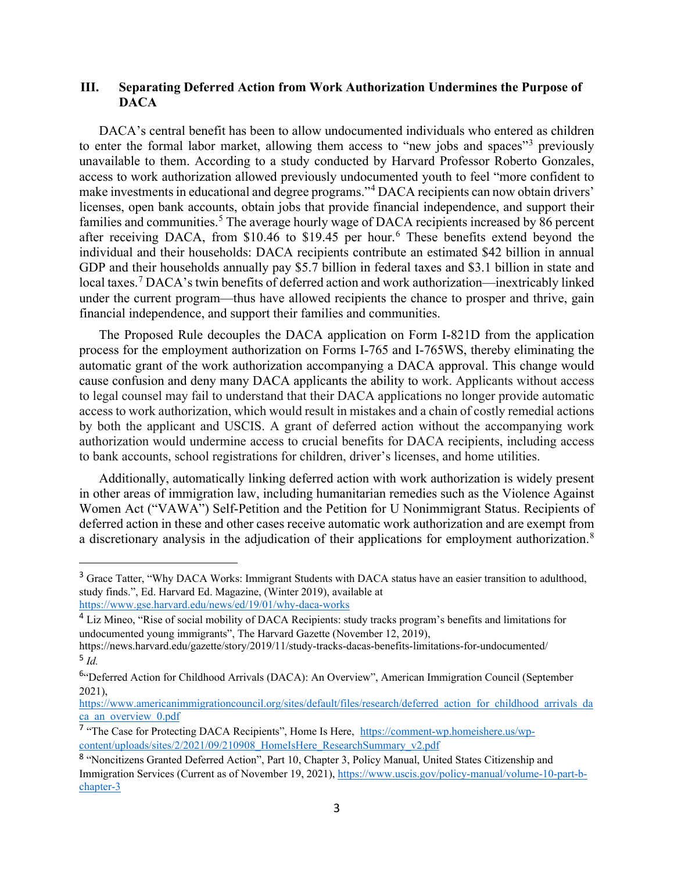#### **III. Separating Deferred Action from Work Authorization Undermines the Purpose of DACA**

DACA's central benefit has been to allow undocumented individuals who entered as children to enter the formal labor market, allowing them access to "new jobs and spaces"<sup>[3](#page-2-0)</sup> previously unavailable to them. According to a study conducted by Harvard Professor Roberto Gonzales, access to work authorization allowed previously undocumented youth to feel "more confident to make investments in educational and degree programs."[4](#page-2-1) DACA recipients can now obtain drivers' licenses, open bank accounts, obtain jobs that provide financial independence, and support their families and communities.<sup>[5](#page-2-2)</sup> The average hourly wage of DACA recipients increased by 86 percent after receiving DACA, from \$10.4[6](#page-2-3) to \$19.45 per hour.<sup>6</sup> These benefits extend beyond the individual and their households: DACA recipients contribute an estimated \$42 billion in annual GDP and their households annually pay \$5.7 billion in federal taxes and \$3.1 billion in state and local taxes.<sup>[7](#page-2-4)</sup> DACA's twin benefits of deferred action and work authorization—inextricably linked under the current program—thus have allowed recipients the chance to prosper and thrive, gain financial independence, and support their families and communities.

The Proposed Rule decouples the DACA application on Form I-821D from the application process for the employment authorization on Forms I-765 and I-765WS, thereby eliminating the automatic grant of the work authorization accompanying a DACA approval. This change would cause confusion and deny many DACA applicants the ability to work. Applicants without access to legal counsel may fail to understand that their DACA applications no longer provide automatic access to work authorization, which would result in mistakes and a chain of costly remedial actions by both the applicant and USCIS. A grant of deferred action without the accompanying work authorization would undermine access to crucial benefits for DACA recipients, including access to bank accounts, school registrations for children, driver's licenses, and home utilities.

Additionally, automatically linking deferred action with work authorization is widely present in other areas of immigration law, including humanitarian remedies such as the Violence Against Women Act ("VAWA") Self-Petition and the Petition for U Nonimmigrant Status. Recipients of deferred action in these and other cases receive automatic work authorization and are exempt from a discretionary analysis in the adjudication of their applications for employment authorization.<sup>[8](#page-2-5)</sup>

<span id="page-2-0"></span><sup>&</sup>lt;sup>3</sup> Grace Tatter, "Why DACA Works: Immigrant Students with DACA status have an easier transition to adulthood, study finds.", Ed. Harvard Ed. Magazine, (Winter 2019), available at <https://www.gse.harvard.edu/news/ed/19/01/why-daca-works>

<span id="page-2-1"></span><sup>4</sup> Liz Mineo, "Rise of social mobility of DACA Recipients: study tracks program's benefits and limitations for undocumented young immigrants", The Harvard Gazette (November 12, 2019),

<span id="page-2-2"></span>https://news.harvard.edu/gazette/story/2019/11/study-tracks-dacas-benefits-limitations-for-undocumented/ <sup>5</sup> *Id.*

<span id="page-2-3"></span><sup>6</sup>"Deferred Action for Childhood Arrivals (DACA): An Overview", American Immigration Council (September 2021),

[https://www.americanimmigrationcouncil.org/sites/default/files/research/deferred\\_action\\_for\\_childhood\\_arrivals\\_da](https://www.americanimmigrationcouncil.org/sites/default/files/research/deferred_action_for_childhood_arrivals_daca_an_overview_0.pdf) ca an overview 0.pdf

<span id="page-2-4"></span><sup>7</sup> "The Case for Protecting DACA Recipients", Home Is Here, [https://comment-wp.homeishere.us/wp](https://comment-wp.homeishere.us/wp-content/uploads/sites/2/2021/09/210908_HomeIsHere_ResearchSummary_v2.pdf)[content/uploads/sites/2/2021/09/210908\\_HomeIsHere\\_ResearchSummary\\_v2.pdf](https://comment-wp.homeishere.us/wp-content/uploads/sites/2/2021/09/210908_HomeIsHere_ResearchSummary_v2.pdf)

<span id="page-2-5"></span><sup>8</sup> "Noncitizens Granted Deferred Action", Part 10, Chapter 3, Policy Manual, United States Citizenship and Immigration Services (Current as of November 19, 2021), [https://www.uscis.gov/policy-manual/volume-10-part-b](https://www.uscis.gov/policy-manual/volume-10-part-b-chapter-3)[chapter-3](https://www.uscis.gov/policy-manual/volume-10-part-b-chapter-3)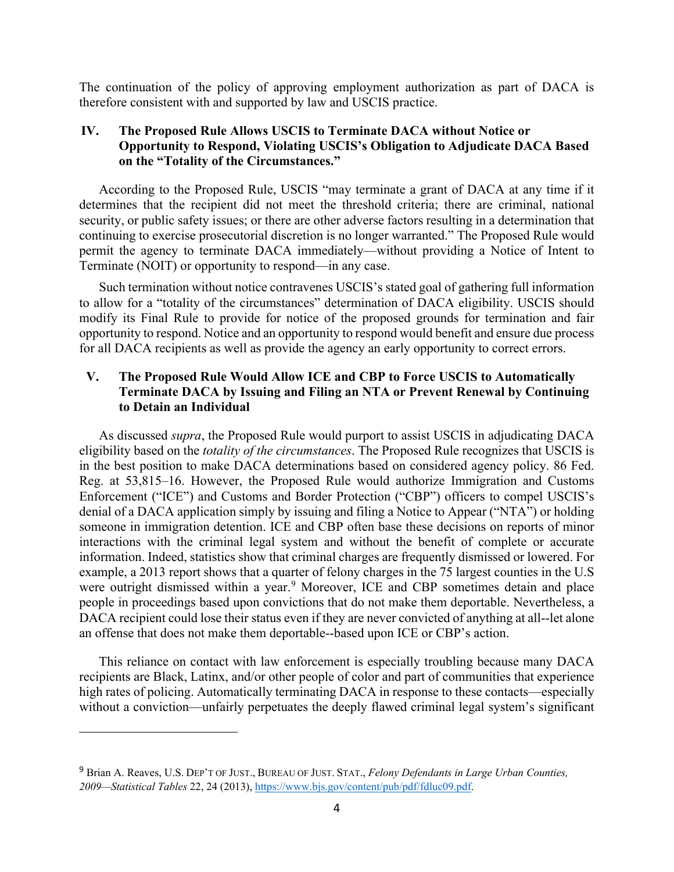The continuation of the policy of approving employment authorization as part of DACA is therefore consistent with and supported by law and USCIS practice.

### **IV. The Proposed Rule Allows USCIS to Terminate DACA without Notice or Opportunity to Respond, Violating USCIS's Obligation to Adjudicate DACA Based on the "Totality of the Circumstances."**

According to the Proposed Rule, USCIS "may terminate a grant of DACA at any time if it determines that the recipient did not meet the threshold criteria; there are criminal, national security, or public safety issues; or there are other adverse factors resulting in a determination that continuing to exercise prosecutorial discretion is no longer warranted." The Proposed Rule would permit the agency to terminate DACA immediately—without providing a Notice of Intent to Terminate (NOIT) or opportunity to respond—in any case.

Such termination without notice contravenes USCIS's stated goal of gathering full information to allow for a "totality of the circumstances" determination of DACA eligibility. USCIS should modify its Final Rule to provide for notice of the proposed grounds for termination and fair opportunity to respond. Notice and an opportunity to respond would benefit and ensure due process for all DACA recipients as well as provide the agency an early opportunity to correct errors.

## **V. The Proposed Rule Would Allow ICE and CBP to Force USCIS to Automatically Terminate DACA by Issuing and Filing an NTA or Prevent Renewal by Continuing to Detain an Individual**

As discussed *supra*, the Proposed Rule would purport to assist USCIS in adjudicating DACA eligibility based on the *totality of the circumstances*. The Proposed Rule recognizes that USCIS is in the best position to make DACA determinations based on considered agency policy. 86 Fed. Reg. at 53,815–16. However, the Proposed Rule would authorize Immigration and Customs Enforcement ("ICE") and Customs and Border Protection ("CBP") officers to compel USCIS's denial of a DACA application simply by issuing and filing a Notice to Appear ("NTA") or holding someone in immigration detention. ICE and CBP often base these decisions on reports of minor interactions with the criminal legal system and without the benefit of complete or accurate information. Indeed, statistics show that criminal charges are frequently dismissed or lowered. For example, a 2013 report shows that a quarter of felony charges in the 75 largest counties in the U.S were outright dismissed within a year.<sup>[9](#page-3-0)</sup> Moreover, ICE and CBP sometimes detain and place people in proceedings based upon convictions that do not make them deportable. Nevertheless, a DACA recipient could lose their status even if they are never convicted of anything at all--let alone an offense that does not make them deportable--based upon ICE or CBP's action.

This reliance on contact with law enforcement is especially troubling because many DACA recipients are Black, Latinx, and/or other people of color and part of communities that experience high rates of policing. Automatically terminating DACA in response to these contacts—especially without a conviction—unfairly perpetuates the deeply flawed criminal legal system's significant

<span id="page-3-0"></span><sup>9</sup> Brian A. Reaves, U.S. DEP'T OF JUST., BUREAU OF JUST. STAT., *Felony Defendants in Large Urban Counties, 2009—Statistical Tables* 22, 24 (2013)[, https://www.bjs.gov/content/pub/pdf/fdluc09.pdf.](https://www.bjs.gov/content/pub/pdf/fdluc09.pdf)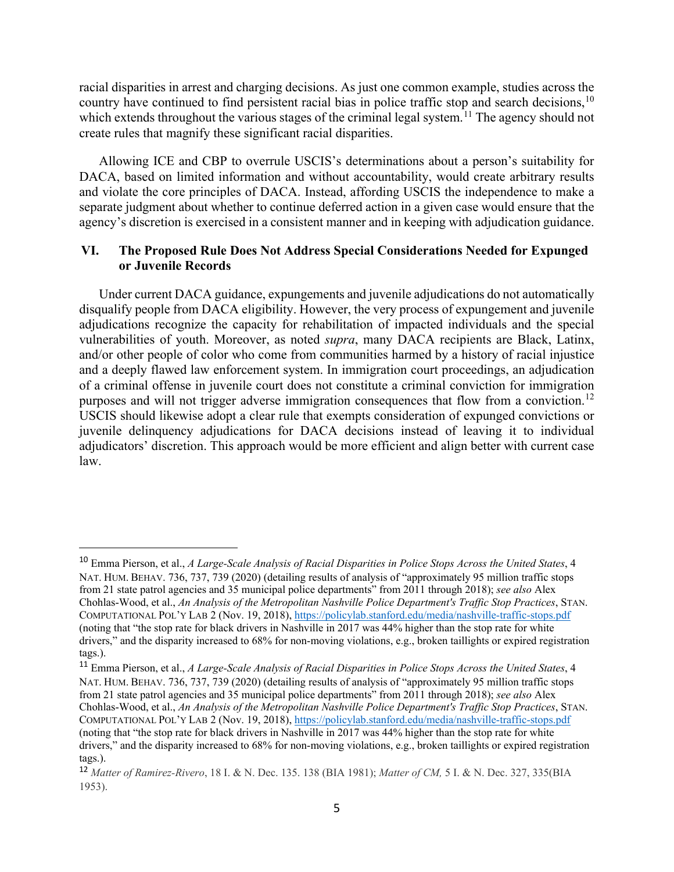racial disparities in arrest and charging decisions. As just one common example, studies across the country have continued to find persistent racial bias in police traffic stop and search decisions,  $10$ which extends throughout the various stages of the criminal legal system.<sup>[11](#page-4-1)</sup> The agency should not create rules that magnify these significant racial disparities.

Allowing ICE and CBP to overrule USCIS's determinations about a person's suitability for DACA, based on limited information and without accountability, would create arbitrary results and violate the core principles of DACA. Instead, affording USCIS the independence to make a separate judgment about whether to continue deferred action in a given case would ensure that the agency's discretion is exercised in a consistent manner and in keeping with adjudication guidance.

#### **VI. The Proposed Rule Does Not Address Special Considerations Needed for Expunged or Juvenile Records**

Under current DACA guidance, expungements and juvenile adjudications do not automatically disqualify people from DACA eligibility. However, the very process of expungement and juvenile adjudications recognize the capacity for rehabilitation of impacted individuals and the special vulnerabilities of youth. Moreover, as noted *supra*, many DACA recipients are Black, Latinx, and/or other people of color who come from communities harmed by a history of racial injustice and a deeply flawed law enforcement system. In immigration court proceedings, an adjudication of a criminal offense in juvenile court does not constitute a criminal conviction for immigration purposes and will not trigger adverse immigration consequences that flow from a conviction.<sup>[12](#page-4-2)</sup> USCIS should likewise adopt a clear rule that exempts consideration of expunged convictions or juvenile delinquency adjudications for DACA decisions instead of leaving it to individual adjudicators' discretion. This approach would be more efficient and align better with current case law.

<span id="page-4-0"></span><sup>10</sup> Emma Pierson, et al., *A Large-Scale Analysis of Racial Disparities in Police Stops Across the United States*, 4 NAT. HUM. BEHAV. 736, 737, 739 (2020) (detailing results of analysis of "approximately 95 million traffic stops from 21 state patrol agencies and 35 municipal police departments" from 2011 through 2018); *see also* Alex Chohlas-Wood, et al., *An Analysis of the Metropolitan Nashville Police Department's Traffic Stop Practices*, STAN. COMPUTATIONAL POL'Y LAB 2 (Nov. 19, 2018)[, https://policylab.stanford.edu/media/nashville-traffic-stops.pdf](https://policylab.stanford.edu/media/nashville-traffic-stops.pdf) (noting that "the stop rate for black drivers in Nashville in 2017 was 44% higher than the stop rate for white drivers," and the disparity increased to 68% for non-moving violations, e.g., broken taillights or expired registration tags.).

<span id="page-4-1"></span><sup>11</sup> Emma Pierson, et al., *A Large-Scale Analysis of Racial Disparities in Police Stops Across the United States*, 4 NAT. HUM. BEHAV. 736, 737, 739 (2020) (detailing results of analysis of "approximately 95 million traffic stops from 21 state patrol agencies and 35 municipal police departments" from 2011 through 2018); *see also* Alex Chohlas-Wood, et al., *An Analysis of the Metropolitan Nashville Police Department's Traffic Stop Practices*, STAN. COMPUTATIONAL POL'Y LAB 2 (Nov. 19, 2018)[, https://policylab.stanford.edu/media/nashville-traffic-stops.pdf](https://policylab.stanford.edu/media/nashville-traffic-stops.pdf) (noting that "the stop rate for black drivers in Nashville in 2017 was 44% higher than the stop rate for white drivers," and the disparity increased to 68% for non-moving violations, e.g., broken taillights or expired registration tags.).

<span id="page-4-2"></span><sup>12</sup> *Matter of Ramirez-Rivero*, 18 I. & N. Dec. 135. 138 (BIA 1981); *Matter of CM,* 5 I. & N. Dec. 327, 335(BIA 1953).